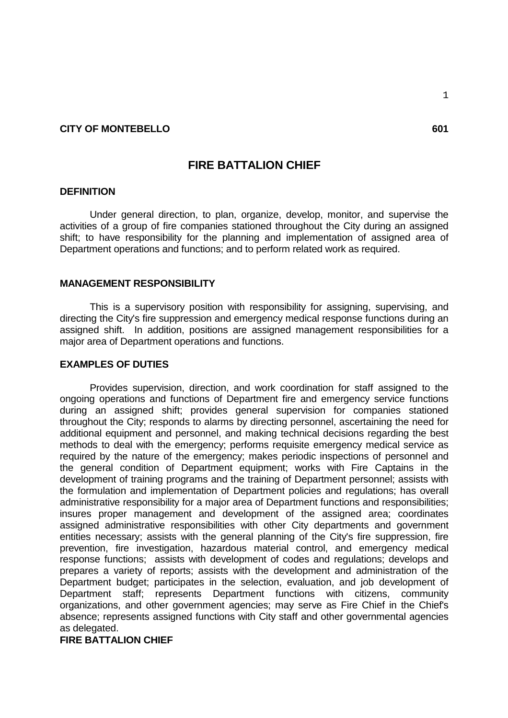### **CITY OF MONTEBELLO** 601

# **FIRE BATTALION CHIEF**

### **DEFINITION**

Under general direction, to plan, organize, develop, monitor, and supervise the activities of a group of fire companies stationed throughout the City during an assigned shift; to have responsibility for the planning and implementation of assigned area of Department operations and functions; and to perform related work as required.

#### **MANAGEMENT RESPONSIBILITY**

This is a supervisory position with responsibility for assigning, supervising, and directing the City's fire suppression and emergency medical response functions during an assigned shift. In addition, positions are assigned management responsibilities for a major area of Department operations and functions.

#### **EXAMPLES OF DUTIES**

Provides supervision, direction, and work coordination for staff assigned to the ongoing operations and functions of Department fire and emergency service functions during an assigned shift; provides general supervision for companies stationed throughout the City; responds to alarms by directing personnel, ascertaining the need for additional equipment and personnel, and making technical decisions regarding the best methods to deal with the emergency; performs requisite emergency medical service as required by the nature of the emergency; makes periodic inspections of personnel and the general condition of Department equipment; works with Fire Captains in the development of training programs and the training of Department personnel; assists with the formulation and implementation of Department policies and regulations; has overall administrative responsibility for a major area of Department functions and responsibilities; insures proper management and development of the assigned area; coordinates assigned administrative responsibilities with other City departments and government entities necessary; assists with the general planning of the City's fire suppression, fire prevention, fire investigation, hazardous material control, and emergency medical response functions; assists with development of codes and regulations; develops and prepares a variety of reports; assists with the development and administration of the Department budget; participates in the selection, evaluation, and job development of Department staff; represents Department functions with citizens, community organizations, and other government agencies; may serve as Fire Chief in the Chief's absence; represents assigned functions with City staff and other governmental agencies as delegated.

**FIRE BATTALION CHIEF**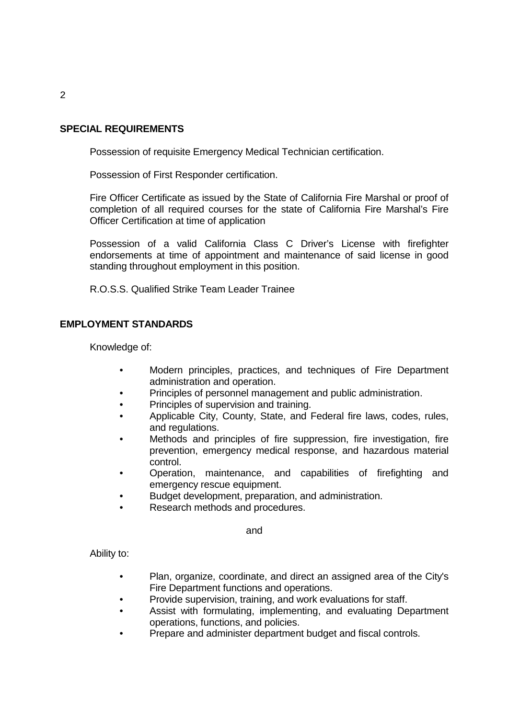# **SPECIAL REQUIREMENTS**

Possession of requisite Emergency Medical Technician certification.

Possession of First Responder certification.

Fire Officer Certificate as issued by the State of California Fire Marshal or proof of completion of all required courses for the state of California Fire Marshal's Fire Officer Certification at time of application

Possession of a valid California Class C Driver's License with firefighter endorsements at time of appointment and maintenance of said license in good standing throughout employment in this position.

R.O.S.S. Qualified Strike Team Leader Trainee

# **EMPLOYMENT STANDARDS**

Knowledge of:

- Modern principles, practices, and techniques of Fire Department administration and operation.
- Principles of personnel management and public administration.
- Principles of supervision and training.
- Applicable City, County, State, and Federal fire laws, codes, rules, and regulations.
- Methods and principles of fire suppression, fire investigation, fire prevention, emergency medical response, and hazardous material control.
- Operation, maintenance, and capabilities of firefighting and emergency rescue equipment.
- Budget development, preparation, and administration.
- Research methods and procedures.

and

Ability to:

- Plan, organize, coordinate, and direct an assigned area of the City's Fire Department functions and operations.
- Provide supervision, training, and work evaluations for staff.
- Assist with formulating, implementing, and evaluating Department operations, functions, and policies.
- Prepare and administer department budget and fiscal controls.

2